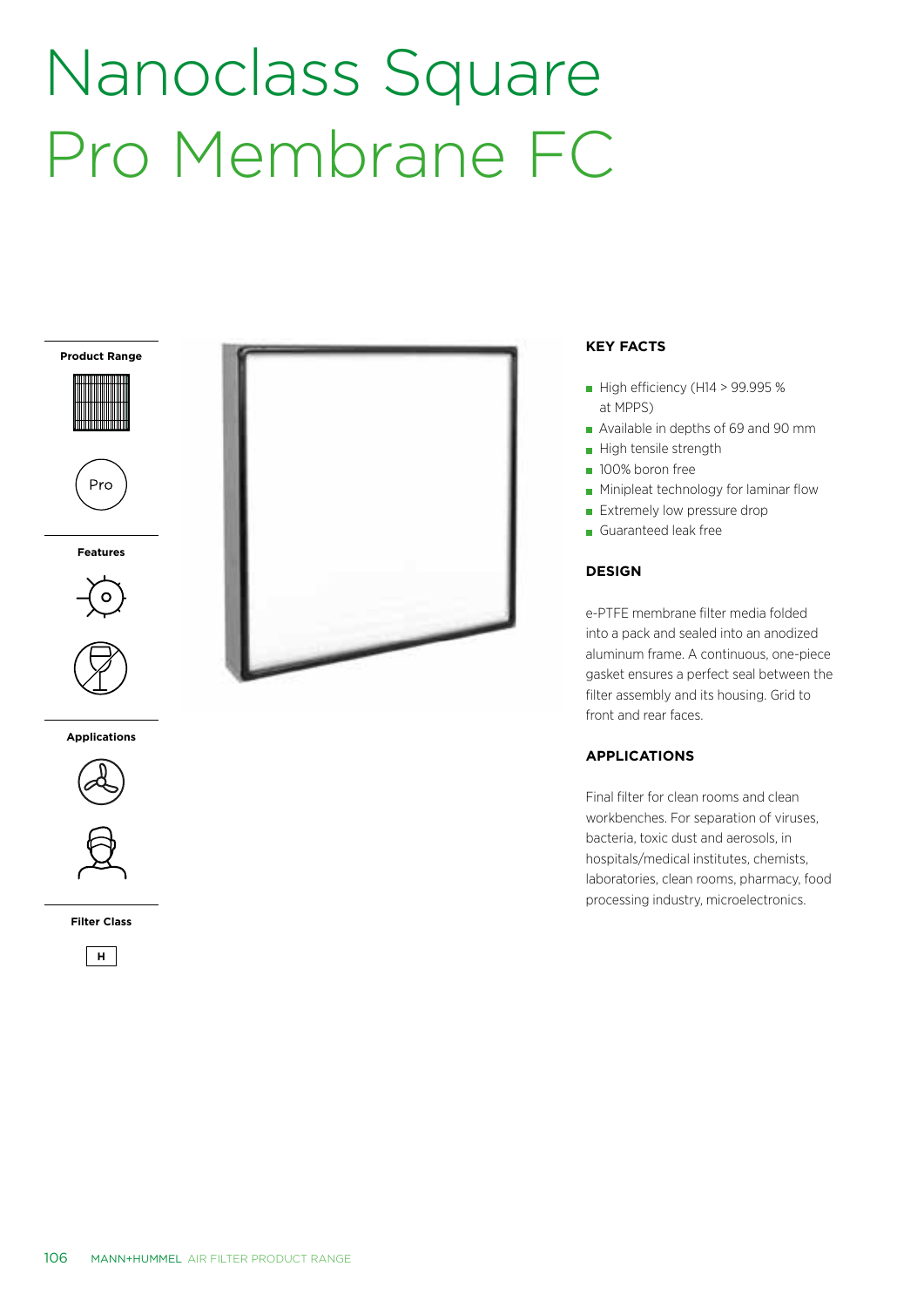# Nanoclass Square Pro Membrane FC

**Product Range**

Pro

**Features**



**Applications**



**Filter Class**





### **KEY FACTS**

- $\blacksquare$  High efficiency (H14 > 99.995 % at MPPS)
- Available in depths of 69 and 90 mm
- High tensile strength
- **100% boron free**
- **Minipleat technology for laminar flow**
- Extremely low pressure drop
- Guaranteed leak free

### **DESIGN**

e-PTFE membrane filter media folded into a pack and sealed into an anodized aluminum frame. A continuous, one-piece gasket ensures a perfect seal between the filter assembly and its housing. Grid to front and rear faces.

## **APPLICATIONS**

Final filter for clean rooms and clean workbenches. For separation of viruses, bacteria, toxic dust and aerosols, in hospitals/medical institutes, chemists, laboratories, clean rooms, pharmacy, food processing industry, microelectronics.